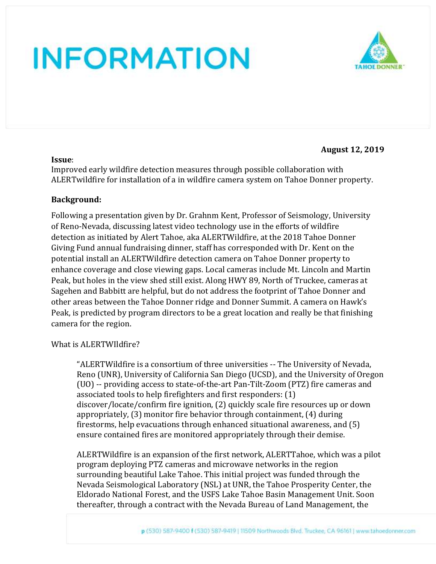

#### **August 12, 2019**

#### **Issue**:

Improved early wildfire detection measures through possible collaboration with ALERTwildfire for installation of a in wildfire camera system on Tahoe Donner property.

### **Background:**

Following a presentation given by Dr. Grahnm Kent, Professor of Seismology, University of Reno-Nevada, discussing latest video technology use in the efforts of wildfire detection as initiated by Alert Tahoe, aka ALERTWildfire, at the 2018 Tahoe Donner Giving Fund annual fundraising dinner, staff has corresponded with Dr. Kent on the potential install an ALERTWildfire detection camera on Tahoe Donner property to enhance coverage and close viewing gaps. Local cameras include Mt. Lincoln and Martin Peak, but holes in the view shed still exist. Along HWY 89, North of Truckee, cameras at Sagehen and Babbitt are helpful, but do not address the footprint of Tahoe Donner and other areas between the Tahoe Donner ridge and Donner Summit. A camera on Hawk's Peak, is predicted by program directors to be a great location and really be that finishing camera for the region.

#### What is ALERTWIldfire?

"ALERTWildfire is a consortium of three universities -- The University of Nevada, Reno (UNR), University of California San Diego (UCSD), and the University of Oregon (UO) -- providing access to state-of-the-art Pan-Tilt-Zoom (PTZ) fire cameras and associated tools to help firefighters and first responders: (1) discover/locate/confirm fire ignition, (2) quickly scale fire resources up or down appropriately, (3) monitor fire behavior through containment, (4) during firestorms, help evacuations through enhanced situational awareness, and (5) ensure contained fires are monitored appropriately through their demise.

ALERTWildfire is an expansion of the first network, ALERTTahoe, which was a pilot program deploying PTZ cameras and microwave networks in the region surrounding beautiful Lake Tahoe. This initial project was funded through the Nevada Seismological Laboratory (NSL) at UNR, the Tahoe Prosperity Center, the Eldorado National Forest, and the USFS Lake Tahoe Basin Management Unit. Soon thereafter, through a contract with the Nevada Bureau of Land Management, the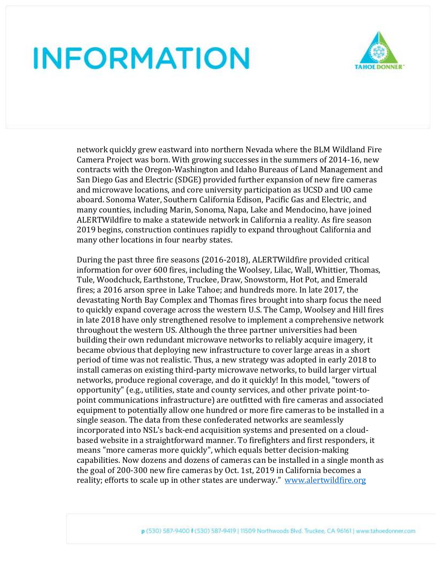

network quickly grew eastward into northern Nevada where the BLM Wildland Fire Camera Project was born. With growing successes in the summers of 2014-16, new contracts with the Oregon-Washington and Idaho Bureaus of Land Management and San Diego Gas and Electric (SDGE) provided further expansion of new fire cameras and microwave locations, and core university participation as UCSD and UO came aboard. Sonoma Water, Southern California Edison, Pacific Gas and Electric, and many counties, including Marin, Sonoma, Napa, Lake and Mendocino, have joined ALERTWildfire to make a statewide network in California a reality. As fire season 2019 begins, construction continues rapidly to expand throughout California and many other locations in four nearby states.

During the past three fire seasons (2016-2018), ALERTWildfire provided critical information for over 600 fires, including the Woolsey, Lilac, Wall, Whittier, Thomas, Tule, Woodchuck, Earthstone, Truckee, Draw, Snowstorm, Hot Pot, and Emerald fires; a 2016 arson spree in Lake Tahoe; and hundreds more. In late 2017, the devastating North Bay Complex and Thomas fires brought into sharp focus the need to quickly expand coverage across the western U.S. The Camp, Woolsey and Hill fires in late 2018 have only strengthened resolve to implement a comprehensive network throughout the western US. Although the three partner universities had been building their own redundant microwave networks to reliably acquire imagery, it became obvious that deploying new infrastructure to cover large areas in a short period of time was not realistic. Thus, a new strategy was adopted in early 2018 to install cameras on existing third-party microwave networks, to build larger virtual networks, produce regional coverage, and do it quickly! In this model, "towers of opportunity" (e.g., utilities, state and county services, and other private point-topoint communications infrastructure) are outfitted with fire cameras and associated equipment to potentially allow one hundred or more fire cameras to be installed in a single season. The data from these confederated networks are seamlessly incorporated into NSL's back-end acquisition systems and presented on a cloudbased website in a straightforward manner. To firefighters and first responders, it means "more cameras more quickly", which equals better decision-making capabilities. Now dozens and dozens of cameras can be installed in a single month as the goal of 200-300 new fire cameras by Oct. 1st, 2019 in California becomes a reality; efforts to scale up in other states are underway." [www.alertwildfire.org](http://www.alertwildfire.org/)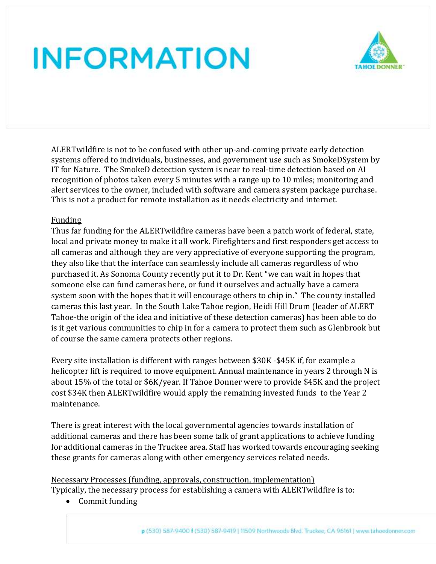

ALERTwildfire is not to be confused with other up-and-coming private early detection systems offered to individuals, businesses, and government use such as SmokeDSystem by IT for Nature. The SmokeD detection system is near to real-time detection based on AI recognition of photos taken every 5 minutes with a range up to 10 miles; monitoring and alert services to the owner, included with software and camera system package purchase. This is not a product for remote installation as it needs electricity and internet.

### Funding

Thus far funding for the ALERTwildfire cameras have been a patch work of federal, state, local and private money to make it all work. Firefighters and first responders get access to all cameras and although they are very appreciative of everyone supporting the program, they also like that the interface can seamlessly include all cameras regardless of who purchased it. As Sonoma County recently put it to Dr. Kent "we can wait in hopes that someone else can fund cameras here, or fund it ourselves and actually have a camera system soon with the hopes that it will encourage others to chip in." The county installed cameras this last year. In the South Lake Tahoe region, Heidi Hill Drum (leader of ALERT Tahoe-the origin of the idea and initiative of these detection cameras) has been able to do is it get various communities to chip in for a camera to protect them such as Glenbrook but of course the same camera protects other regions.

Every site installation is different with ranges between \$30K -\$45K if, for example a helicopter lift is required to move equipment. Annual maintenance in years 2 through N is about 15% of the total or \$6K/year. If Tahoe Donner were to provide \$45K and the project cost \$34K then ALERTwildfire would apply the remaining invested funds to the Year 2 maintenance.

There is great interest with the local governmental agencies towards installation of additional cameras and there has been some talk of grant applications to achieve funding for additional cameras in the Truckee area. Staff has worked towards encouraging seeking these grants for cameras along with other emergency services related needs.

Necessary Processes (funding, approvals, construction, implementation) Typically, the necessary process for establishing a camera with ALERTwildfire is to:

• Commit funding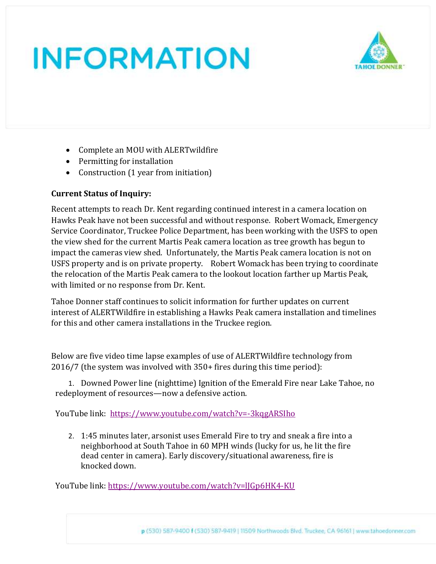

- Complete an MOU with ALERTwildfire
- Permitting for installation
- Construction (1 year from initiation)

### **Current Status of Inquiry:**

Recent attempts to reach Dr. Kent regarding continued interest in a camera location on Hawks Peak have not been successful and without response. Robert Womack, Emergency Service Coordinator, Truckee Police Department, has been working with the USFS to open the view shed for the current Martis Peak camera location as tree growth has begun to impact the cameras view shed. Unfortunately, the Martis Peak camera location is not on USFS property and is on private property. Robert Womack has been trying to coordinate the relocation of the Martis Peak camera to the lookout location farther up Martis Peak, with limited or no response from Dr. Kent.

Tahoe Donner staff continues to solicit information for further updates on current interest of ALERTWildfire in establishing a Hawks Peak camera installation and timelines for this and other camera installations in the Truckee region.

Below are five video time lapse examples of use of ALERTWildfire technology from 2016/7 (the system was involved with 350+ fires during this time period):

1. Downed Power line (nighttime) Ignition of the Emerald Fire near Lake Tahoe, no redeployment of resources—now a defensive action.

YouTube link: [https://www.youtube.com/watch?v=-3kqgARSIho](https://na01.safelinks.protection.outlook.com/?url=https%3A%2F%2Fwww.youtube.com%2Fwatch%3Fv%3D-3kqgARSIho&data=01%7C01%7Cgkent%40unr.edu%7C2d90515a637e48b7daf908d5b4408110%7C523b4bfc0ebd4c03b2b96f6a17fd31d8%7C1&sdata=iXzX5EHHMc0b%2Ba6VNWgPT1sCdNeXJs08e8Z8V9dqFxY%3D&reserved=0)

2. 1:45 minutes later, arsonist uses Emerald Fire to try and sneak a fire into a neighborhood at South Tahoe in 60 MPH winds (lucky for us, he lit the fire dead center in camera). Early discovery/situational awareness, fire is knocked down.

YouTube link: [https://www.youtube.com/watch?v=lJGp6HK4-KU](https://na01.safelinks.protection.outlook.com/?url=https%3A%2F%2Fwww.youtube.com%2Fwatch%3Fv%3DlJGp6HK4-KU&data=01%7C01%7Cgkent%40unr.edu%7C2d90515a637e48b7daf908d5b4408110%7C523b4bfc0ebd4c03b2b96f6a17fd31d8%7C1&sdata=UQrZeHtKURzkSvCUJT5my7y%2F3CGRKrvDq3LXjQuDmxs%3D&reserved=0)